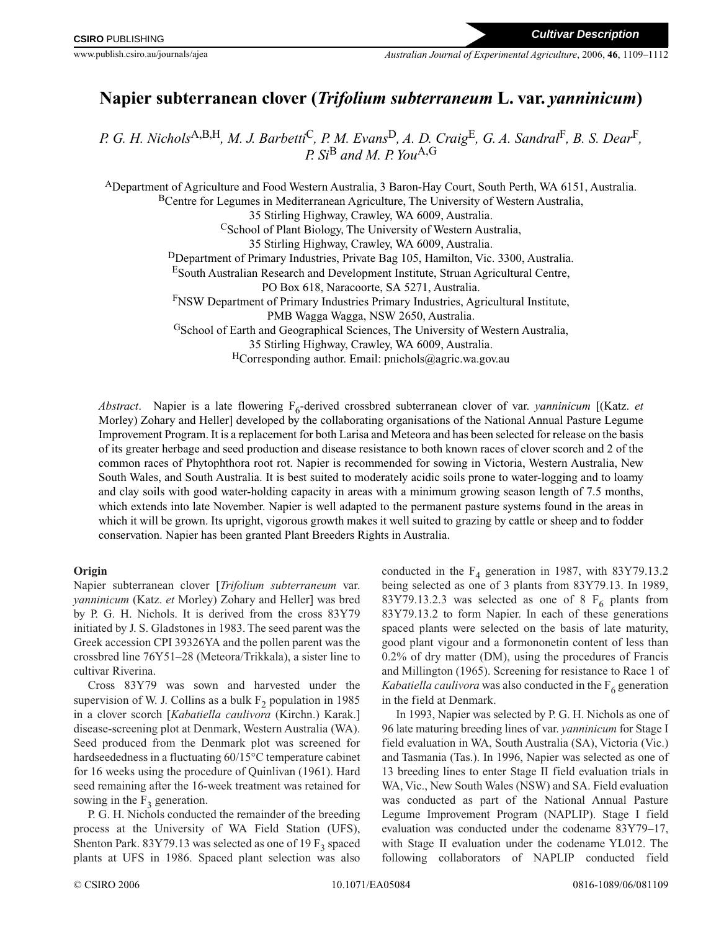# **Napier subterranean clover (***Trifolium subterraneum* **L. var.** *yanninicum***)**

*P. G. H. Nichols*A,B,H*, M. J. Barbetti*C*, P. M. Evans*D*, A. D. Craig*E*, G. A. Sandral*F*, B. S. Dear*F*, P. Si*<sup>B</sup> *and M. P. You*A,G

ADepartment of Agriculture and Food Western Australia, 3 Baron-Hay Court, South Perth, WA 6151, Australia. BCentre for Legumes in Mediterranean Agriculture, The University of Western Australia, 35 Stirling Highway, Crawley, WA 6009, Australia. <sup>C</sup>School of Plant Biology, The University of Western Australia, 35 Stirling Highway, Crawley, WA 6009, Australia. <sup>D</sup>Department of Primary Industries, Private Bag 105, Hamilton, Vic. 3300, Australia. ESouth Australian Research and Development Institute, Struan Agricultural Centre, PO Box 618, Naracoorte, SA 5271, Australia. FNSW Department of Primary Industries Primary Industries, Agricultural Institute, PMB Wagga Wagga, NSW 2650, Australia. GSchool of Earth and Geographical Sciences, The University of Western Australia, 35 Stirling Highway, Crawley, WA 6009, Australia. <sup>H</sup>Corresponding author. Email: pnichols@agric.wa.gov.au

*Abstract.* Napier is a late flowering F<sub>6</sub>-derived crossbred subterranean clover of var. *yanninicum* [(Katz. *et* Morley) Zohary and Heller] developed by the collaborating organisations of the National Annual Pasture Legume Improvement Program. It is a replacement for both Larisa and Meteora and has been selected for release on the basis of its greater herbage and seed production and disease resistance to both known races of clover scorch and 2 of the common races of Phytophthora root rot. Napier is recommended for sowing in Victoria, Western Australia, New South Wales, and South Australia. It is best suited to moderately acidic soils prone to water-logging and to loamy and clay soils with good water-holding capacity in areas with a minimum growing season length of 7.5 months, which extends into late November. Napier is well adapted to the permanent pasture systems found in the areas in which it will be grown. Its upright, vigorous growth makes it well suited to grazing by cattle or sheep and to fodder conservation. Napier has been granted Plant Breeders Rights in Australia.

## **Origin**

Napier subterranean clover [*Trifolium subterraneum* var. *yanninicum* (Katz. *et* Morley) Zohary and Heller] was bred by P. G. H. Nichols. It is derived from the cross 83Y79 initiated by J. S. Gladstones in 1983. The seed parent was the Greek accession CPI 39326YA and the pollen parent was the crossbred line 76Y51–28 (Meteora/Trikkala), a sister line to cultivar Riverina.

Cross 83Y79 was sown and harvested under the supervision of W. J. Collins as a bulk  $F_2$  population in 1985 in a clover scorch [*Kabatiella caulivora* (Kirchn.) Karak.] disease-screening plot at Denmark, Western Australia (WA). Seed produced from the Denmark plot was screened for hardseededness in a fluctuating 60/15°C temperature cabinet for 16 weeks using the procedure of Quinlivan (1961). Hard seed remaining after the 16-week treatment was retained for sowing in the  $F_3$  generation.

P. G. H. Nichols conducted the remainder of the breeding process at the University of WA Field Station (UFS), Shenton Park. 83Y79.13 was selected as one of 19  $F_3$  spaced plants at UFS in 1986. Spaced plant selection was also

conducted in the  $F_4$  generation in 1987, with 83Y79.13.2 being selected as one of 3 plants from 83Y79.13. In 1989, 83Y79.13.2.3 was selected as one of 8  $F<sub>6</sub>$  plants from 83Y79.13.2 to form Napier. In each of these generations spaced plants were selected on the basis of late maturity, good plant vigour and a formononetin content of less than 0.2% of dry matter (DM), using the procedures of Francis and Millington (1965). Screening for resistance to Race 1 of *Kabatiella caulivora* was also conducted in the  $F_6$  generation in the field at Denmark.

In 1993, Napier was selected by P. G. H. Nichols as one of 96 late maturing breeding lines of var. *yanninicum* for Stage I field evaluation in WA, South Australia (SA), Victoria (Vic.) and Tasmania (Tas.). In 1996, Napier was selected as one of 13 breeding lines to enter Stage II field evaluation trials in WA, Vic., New South Wales (NSW) and SA. Field evaluation was conducted as part of the National Annual Pasture Legume Improvement Program (NAPLIP). Stage I field evaluation was conducted under the codename 83Y79–17, with Stage II evaluation under the codename YL012. The following collaborators of NAPLIP conducted field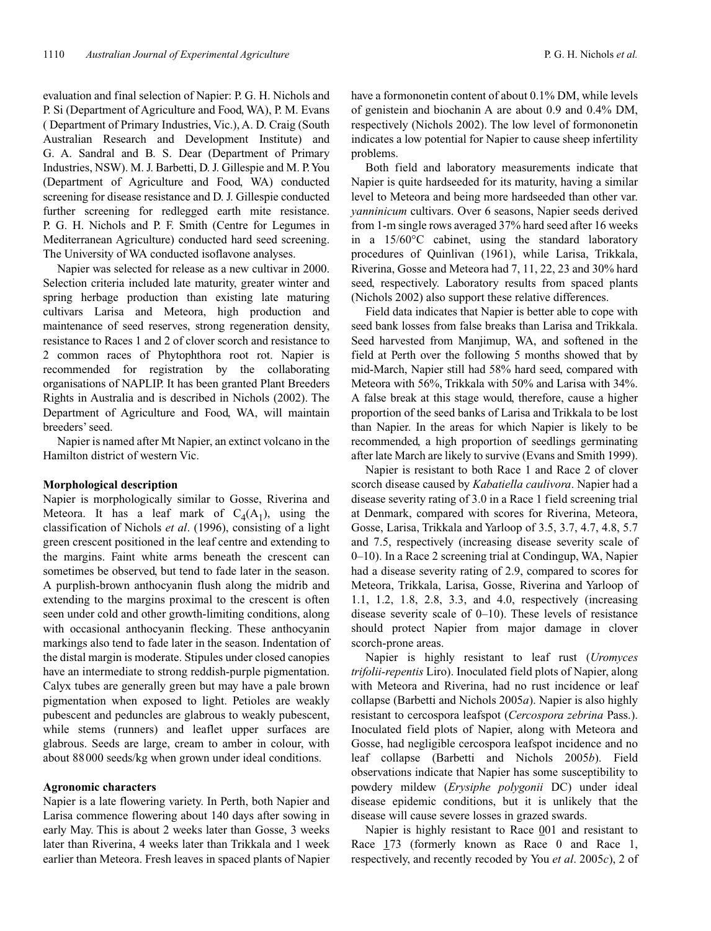evaluation and final selection of Napier: P. G. H. Nichols and P. Si (Department of Agriculture and Food, WA), P. M. Evans ( Department of Primary Industries, Vic.), A. D. Craig (South Australian Research and Development Institute) and G. A. Sandral and B. S. Dear (Department of Primary Industries, NSW). M. J. Barbetti, D. J. Gillespie and M. P. You (Department of Agriculture and Food, WA) conducted screening for disease resistance and D. J. Gillespie conducted further screening for redlegged earth mite resistance. P. G. H. Nichols and P. F. Smith (Centre for Legumes in Mediterranean Agriculture) conducted hard seed screening. The University of WA conducted isoflavone analyses.

Napier was selected for release as a new cultivar in 2000. Selection criteria included late maturity, greater winter and spring herbage production than existing late maturing cultivars Larisa and Meteora, high production and maintenance of seed reserves, strong regeneration density, resistance to Races 1 and 2 of clover scorch and resistance to 2 common races of Phytophthora root rot. Napier is recommended for registration by the collaborating organisations of NAPLIP. It has been granted Plant Breeders Rights in Australia and is described in Nichols (2002). The Department of Agriculture and Food, WA, will maintain breeders' seed.

Napier is named after Mt Napier, an extinct volcano in the Hamilton district of western Vic.

## **Morphological description**

Napier is morphologically similar to Gosse, Riverina and Meteora. It has a leaf mark of  $C_4(A_1)$ , using the classification of Nichols *et al*. (1996), consisting of a light green crescent positioned in the leaf centre and extending to the margins. Faint white arms beneath the crescent can sometimes be observed, but tend to fade later in the season. A purplish-brown anthocyanin flush along the midrib and extending to the margins proximal to the crescent is often seen under cold and other growth-limiting conditions, along with occasional anthocyanin flecking. These anthocyanin markings also tend to fade later in the season. Indentation of the distal margin is moderate. Stipules under closed canopies have an intermediate to strong reddish-purple pigmentation. Calyx tubes are generally green but may have a pale brown pigmentation when exposed to light. Petioles are weakly pubescent and peduncles are glabrous to weakly pubescent, while stems (runners) and leaflet upper surfaces are glabrous. Seeds are large, cream to amber in colour, with about 88000 seeds/kg when grown under ideal conditions.

### **Agronomic characters**

Napier is a late flowering variety. In Perth, both Napier and Larisa commence flowering about 140 days after sowing in early May. This is about 2 weeks later than Gosse, 3 weeks later than Riverina, 4 weeks later than Trikkala and 1 week earlier than Meteora. Fresh leaves in spaced plants of Napier

have a formononetin content of about 0.1% DM, while levels of genistein and biochanin A are about 0.9 and 0.4% DM, respectively (Nichols 2002). The low level of formononetin indicates a low potential for Napier to cause sheep infertility problems.

Both field and laboratory measurements indicate that Napier is quite hardseeded for its maturity, having a similar level to Meteora and being more hardseeded than other var. *yanninicum* cultivars. Over 6 seasons, Napier seeds derived from 1-m single rows averaged 37% hard seed after 16 weeks in a 15/60°C cabinet, using the standard laboratory procedures of Quinlivan (1961), while Larisa, Trikkala, Riverina, Gosse and Meteora had 7, 11, 22, 23 and 30% hard seed, respectively. Laboratory results from spaced plants (Nichols 2002) also support these relative differences.

Field data indicates that Napier is better able to cope with seed bank losses from false breaks than Larisa and Trikkala. Seed harvested from Manjimup, WA, and softened in the field at Perth over the following 5 months showed that by mid-March, Napier still had 58% hard seed, compared with Meteora with 56%, Trikkala with 50% and Larisa with 34%. A false break at this stage would, therefore, cause a higher proportion of the seed banks of Larisa and Trikkala to be lost than Napier. In the areas for which Napier is likely to be recommended, a high proportion of seedlings germinating after late March are likely to survive (Evans and Smith 1999).

Napier is resistant to both Race 1 and Race 2 of clover scorch disease caused by *Kabatiella caulivora*. Napier had a disease severity rating of 3.0 in a Race 1 field screening trial at Denmark, compared with scores for Riverina, Meteora, Gosse, Larisa, Trikkala and Yarloop of 3.5, 3.7, 4.7, 4.8, 5.7 and 7.5, respectively (increasing disease severity scale of 0–10). In a Race 2 screening trial at Condingup, WA, Napier had a disease severity rating of 2.9, compared to scores for Meteora, Trikkala, Larisa, Gosse, Riverina and Yarloop of 1.1, 1.2, 1.8, 2.8, 3.3, and 4.0, respectively (increasing disease severity scale of 0–10). These levels of resistance should protect Napier from major damage in clover scorch-prone areas.

Napier is highly resistant to leaf rust (*Uromyces trifolii-repentis* Liro). Inoculated field plots of Napier, along with Meteora and Riverina, had no rust incidence or leaf collapse (Barbetti and Nichols 2005*a*). Napier is also highly resistant to cercospora leafspot (*Cercospora zebrina* Pass.). Inoculated field plots of Napier, along with Meteora and Gosse, had negligible cercospora leafspot incidence and no leaf collapse (Barbetti and Nichols 2005*b*). Field observations indicate that Napier has some susceptibility to powdery mildew (*Erysiphe polygonii* DC) under ideal disease epidemic conditions, but it is unlikely that the disease will cause severe losses in grazed swards.

Napier is highly resistant to Race  $\overline{0}01$  and resistant to Race 173 (formerly known as Race 0 and Race 1, respectively, and recently recoded by You *et al*. 2005*c*), 2 of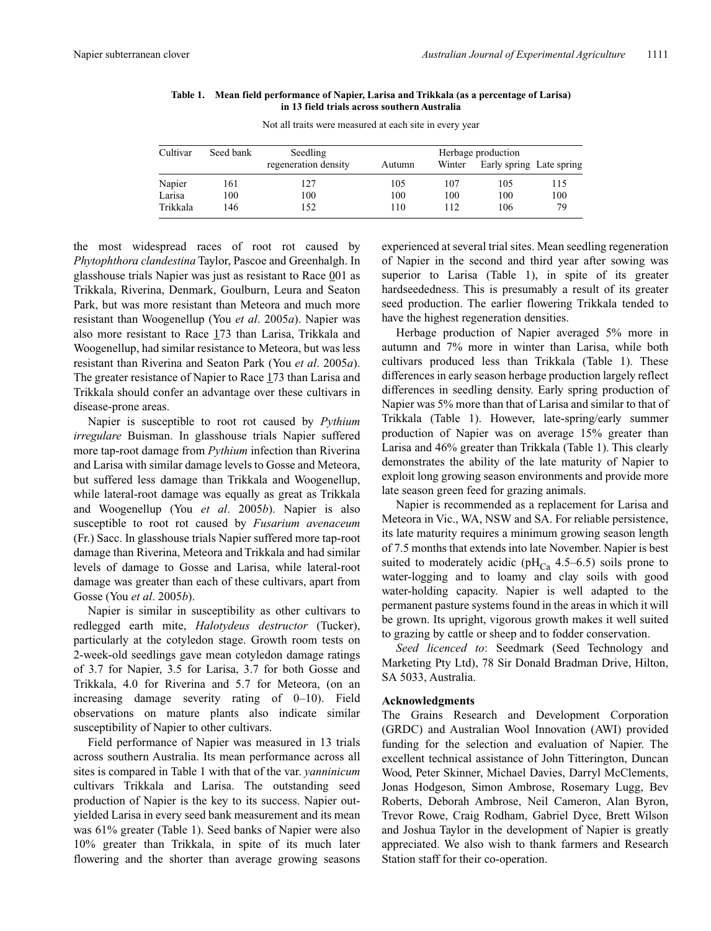#### **Table 1. Mean field performance of Napier, Larisa and Trikkala (as a percentage of Larisa) in 13 field trials across southern Australia**

| Cultivar | Seed bank | Seedling<br>regeneration density | Herbage production |        |                          |     |
|----------|-----------|----------------------------------|--------------------|--------|--------------------------|-----|
|          |           |                                  | Autumn             | Winter | Early spring Late spring |     |
| Napier   | 161       | 127                              | 105                | 107    | 105                      | 115 |
| Larisa   | 100       | 100                              | 100                | 100    | 100                      | 100 |
| Trikkala | 146       | 152                              | 110                | 112    | 106                      | 79  |

Not all traits were measured at each site in every year

the most widespread races of root rot caused by *Phytophthora clandestina* Taylor, Pascoe and Greenhalgh. In glasshouse trials Napier was just as resistant to Race  $\frac{0}{0}$  as Trikkala, Riverina, Denmark, Goulburn, Leura and Seaton Park, but was more resistant than Meteora and much more resistant than Woogenellup (You *et al*. 2005*a*). Napier was also more resistant to Race  $173$  than Larisa, Trikkala and Woogenellup, had similar resistance to Meteora, but was less resistant than Riverina and Seaton Park (You *et al*. 2005*a*). The greater resistance of Napier to Race 173 than Larisa and Trikkala should confer an advantage over these cultivars in disease-prone areas.

Napier is susceptible to root rot caused by *Pythium irregulare* Buisman. In glasshouse trials Napier suffered more tap-root damage from *Pythium* infection than Riverina and Larisa with similar damage levels to Gosse and Meteora, but suffered less damage than Trikkala and Woogenellup, while lateral-root damage was equally as great as Trikkala and Woogenellup (You *et al*. 2005*b*). Napier is also susceptible to root rot caused by *Fusarium avenaceum* (Fr.) Sacc. In glasshouse trials Napier suffered more tap-root damage than Riverina, Meteora and Trikkala and had similar levels of damage to Gosse and Larisa, while lateral-root damage was greater than each of these cultivars, apart from Gosse (You *et al*. 2005*b*).

Napier is similar in susceptibility as other cultivars to redlegged earth mite, *Halotydeus destructor* (Tucker), particularly at the cotyledon stage. Growth room tests on 2-week-old seedlings gave mean cotyledon damage ratings of 3.7 for Napier, 3.5 for Larisa, 3.7 for both Gosse and Trikkala, 4.0 for Riverina and 5.7 for Meteora, (on an increasing damage severity rating of 0–10). Field observations on mature plants also indicate similar susceptibility of Napier to other cultivars.

Field performance of Napier was measured in 13 trials across southern Australia. Its mean performance across all sites is compared in Table 1 with that of the var. *yanninicum* cultivars Trikkala and Larisa. The outstanding seed production of Napier is the key to its success. Napier outyielded Larisa in every seed bank measurement and its mean was 61% greater (Table 1). Seed banks of Napier were also 10% greater than Trikkala, in spite of its much later flowering and the shorter than average growing seasons

experienced at several trial sites. Mean seedling regeneration of Napier in the second and third year after sowing was superior to Larisa (Table 1), in spite of its greater hardseededness. This is presumably a result of its greater seed production. The earlier flowering Trikkala tended to have the highest regeneration densities.

Herbage production of Napier averaged 5% more in autumn and 7% more in winter than Larisa, while both cultivars produced less than Trikkala (Table 1). These differences in early season herbage production largely reflect differences in seedling density. Early spring production of Napier was 5% more than that of Larisa and similar to that of Trikkala (Table 1). However, late-spring/early summer production of Napier was on average 15% greater than Larisa and 46% greater than Trikkala (Table 1). This clearly demonstrates the ability of the late maturity of Napier to exploit long growing season environments and provide more late season green feed for grazing animals.

Napier is recommended as a replacement for Larisa and Meteora in Vic., WA, NSW and SA. For reliable persistence, its late maturity requires a minimum growing season length of 7.5 months that extends into late November. Napier is best suited to moderately acidic (pH<sub>Ca</sub> 4.5–6.5) soils prone to water-logging and to loamy and clay soils with good water-holding capacity. Napier is well adapted to the permanent pasture systems found in the areas in which it will be grown. Its upright, vigorous growth makes it well suited to grazing by cattle or sheep and to fodder conservation.

*Seed licenced to*: Seedmark (Seed Technology and Marketing Pty Ltd), 78 Sir Donald Bradman Drive, Hilton, SA 5033, Australia.

## **Acknowledgments**

The Grains Research and Development Corporation (GRDC) and Australian Wool Innovation (AWI) provided funding for the selection and evaluation of Napier. The excellent technical assistance of John Titterington, Duncan Wood, Peter Skinner, Michael Davies, Darryl McClements, Jonas Hodgeson, Simon Ambrose, Rosemary Lugg, Bev Roberts, Deborah Ambrose, Neil Cameron, Alan Byron, Trevor Rowe, Craig Rodham, Gabriel Dyce, Brett Wilson and Joshua Taylor in the development of Napier is greatly appreciated. We also wish to thank farmers and Research Station staff for their co-operation.